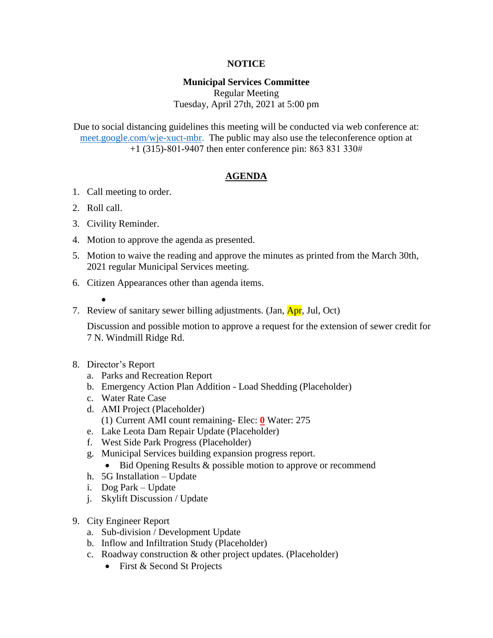# **NOTICE**

# **Municipal Services Committee**

Regular Meeting Tuesday, April 27th, 2021 at 5:00 pm

Due to social distancing guidelines this meeting will be conducted via web conference at: [meet.google.com/wje-xuct-mbr.](meet.google.com/wje-xuct-mbr) The public may also use the teleconference option at +1 (315)-801-9407 then enter conference pin: 863 831 330#

## **AGENDA**

- 1. Call meeting to order.
- 2. Roll call.
- 3. Civility Reminder.
- 4. Motion to approve the agenda as presented.
- 5. Motion to waive the reading and approve the minutes as printed from the March 30th, 2021 regular Municipal Services meeting.
- 6. Citizen Appearances other than agenda items.
	- $\bullet$
- 7. Review of sanitary sewer billing adjustments. (Jan, Apr, Jul, Oct)

Discussion and possible motion to approve a request for the extension of sewer credit for 7 N. Windmill Ridge Rd.

- 8. Director's Report
	- a. Parks and Recreation Report
	- b. Emergency Action Plan Addition Load Shedding (Placeholder)
	- c. Water Rate Case
	- d. AMI Project (Placeholder)
		- (1) Current AMI count remaining- Elec: **0** Water: 275
	- e. Lake Leota Dam Repair Update (Placeholder)
	- f. West Side Park Progress (Placeholder)
	- g. Municipal Services building expansion progress report.
		- Bid Opening Results & possible motion to approve or recommend
	- h. 5G Installation Update
	- i. Dog Park Update
	- j. Skylift Discussion / Update
- 9. City Engineer Report
	- a. Sub-division / Development Update
	- b. Inflow and Infiltration Study (Placeholder)
	- c. Roadway construction & other project updates. (Placeholder)
		- First & Second St Projects